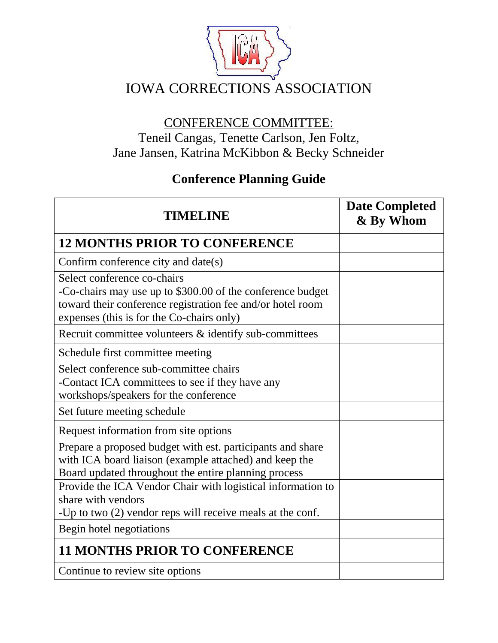

# CONFERENCE COMMITTEE: Teneil Cangas, Tenette Carlson, Jen Foltz, Jane Jansen, Katrina McKibbon & Becky Schneider

# **Conference Planning Guide**

| <b>TIMELINE</b>                                                                                                                                                                                      | <b>Date Completed</b><br>& By Whom |
|------------------------------------------------------------------------------------------------------------------------------------------------------------------------------------------------------|------------------------------------|
| <b>12 MONTHS PRIOR TO CONFERENCE</b>                                                                                                                                                                 |                                    |
| Confirm conference city and date(s)                                                                                                                                                                  |                                    |
| Select conference co-chairs<br>-Co-chairs may use up to \$300.00 of the conference budget<br>toward their conference registration fee and/or hotel room<br>expenses (this is for the Co-chairs only) |                                    |
| Recruit committee volunteers & identify sub-committees                                                                                                                                               |                                    |
| Schedule first committee meeting                                                                                                                                                                     |                                    |
| Select conference sub-committee chairs<br>-Contact ICA committees to see if they have any<br>workshops/speakers for the conference                                                                   |                                    |
| Set future meeting schedule                                                                                                                                                                          |                                    |
| Request information from site options                                                                                                                                                                |                                    |
| Prepare a proposed budget with est. participants and share<br>with ICA board liaison (example attached) and keep the<br>Board updated throughout the entire planning process                         |                                    |
| Provide the ICA Vendor Chair with logistical information to<br>share with vendors<br>-Up to two (2) vendor reps will receive meals at the conf.                                                      |                                    |
| Begin hotel negotiations                                                                                                                                                                             |                                    |
| <b>11 MONTHS PRIOR TO CONFERENCE</b>                                                                                                                                                                 |                                    |
| Continue to review site options                                                                                                                                                                      |                                    |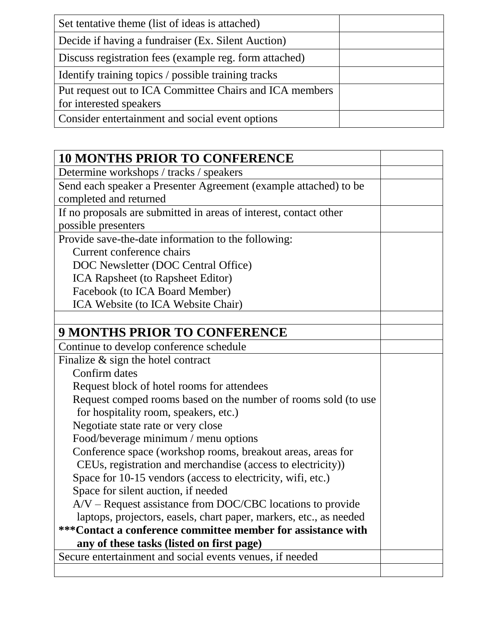| Set tentative theme (list of ideas is attached)         |  |
|---------------------------------------------------------|--|
| Decide if having a fundraiser (Ex. Silent Auction)      |  |
| Discuss registration fees (example reg. form attached)  |  |
| Identify training topics / possible training tracks     |  |
| Put request out to ICA Committee Chairs and ICA members |  |
| for interested speakers                                 |  |
| Consider entertainment and social event options         |  |

| <b>10 MONTHS PRIOR TO CONFERENCE</b>                               |  |
|--------------------------------------------------------------------|--|
| Determine workshops / tracks / speakers                            |  |
| Send each speaker a Presenter Agreement (example attached) to be   |  |
| completed and returned                                             |  |
| If no proposals are submitted in areas of interest, contact other  |  |
| possible presenters                                                |  |
| Provide save-the-date information to the following:                |  |
| Current conference chairs                                          |  |
| DOC Newsletter (DOC Central Office)                                |  |
| ICA Rapsheet (to Rapsheet Editor)                                  |  |
| Facebook (to ICA Board Member)                                     |  |
| ICA Website (to ICA Website Chair)                                 |  |
|                                                                    |  |
| <b>9 MONTHS PRIOR TO CONFERENCE</b>                                |  |
| Continue to develop conference schedule                            |  |
| Finalize $\&$ sign the hotel contract                              |  |
| Confirm dates                                                      |  |
| Request block of hotel rooms for attendees                         |  |
| Request comped rooms based on the number of rooms sold (to use     |  |
| for hospitality room, speakers, etc.)                              |  |
| Negotiate state rate or very close                                 |  |
| Food/beverage minimum / menu options                               |  |
| Conference space (workshop rooms, breakout areas, areas for        |  |
| CEUs, registration and merchandise (access to electricity))        |  |
| Space for 10-15 vendors (access to electricity, wifi, etc.)        |  |
| Space for silent auction, if needed                                |  |
| $A/V$ – Request assistance from DOC/CBC locations to provide       |  |
| laptops, projectors, easels, chart paper, markers, etc., as needed |  |
| ***Contact a conference committee member for assistance with       |  |
| any of these tasks (listed on first page)                          |  |
| Secure entertainment and social events venues, if needed           |  |
|                                                                    |  |

ı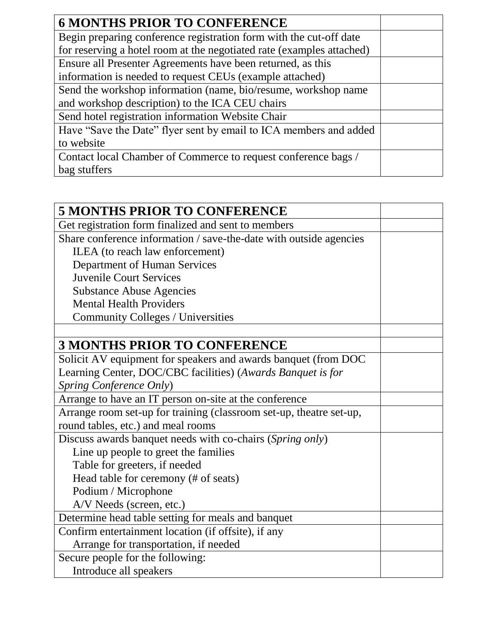| <b>6 MONTHS PRIOR TO CONFERENCE</b>                                   |  |
|-----------------------------------------------------------------------|--|
| Begin preparing conference registration form with the cut-off date    |  |
| for reserving a hotel room at the negotiated rate (examples attached) |  |
| Ensure all Presenter Agreements have been returned, as this           |  |
| information is needed to request CEUs (example attached)              |  |
| Send the workshop information (name, bio/resume, workshop name        |  |
| and workshop description) to the ICA CEU chairs                       |  |
| Send hotel registration information Website Chair                     |  |
| Have "Save the Date" flyer sent by email to ICA members and added     |  |
| to website                                                            |  |
| Contact local Chamber of Commerce to request conference bags /        |  |
| bag stuffers                                                          |  |

| <b>5 MONTHS PRIOR TO CONFERENCE</b>                                 |  |
|---------------------------------------------------------------------|--|
| Get registration form finalized and sent to members                 |  |
| Share conference information / save-the-date with outside agencies  |  |
| ILEA (to reach law enforcement)                                     |  |
| Department of Human Services                                        |  |
| <b>Juvenile Court Services</b>                                      |  |
| <b>Substance Abuse Agencies</b>                                     |  |
| <b>Mental Health Providers</b>                                      |  |
| Community Colleges / Universities                                   |  |
|                                                                     |  |
| <b>3 MONTHS PRIOR TO CONFERENCE</b>                                 |  |
| Solicit AV equipment for speakers and awards banquet (from DOC      |  |
| Learning Center, DOC/CBC facilities) (Awards Banquet is for         |  |
| Spring Conference Only)                                             |  |
| Arrange to have an IT person on-site at the conference              |  |
| Arrange room set-up for training (classroom set-up, theatre set-up, |  |
| round tables, etc.) and meal rooms                                  |  |
| Discuss awards banquet needs with co-chairs (Spring only)           |  |
| Line up people to greet the families                                |  |
| Table for greeters, if needed                                       |  |
| Head table for ceremony (# of seats)                                |  |
| Podium / Microphone                                                 |  |
| A/V Needs (screen, etc.)                                            |  |
| Determine head table setting for meals and banquet                  |  |
| Confirm entertainment location (if offsite), if any                 |  |
| Arrange for transportation, if needed                               |  |
| Secure people for the following:                                    |  |
| Introduce all speakers                                              |  |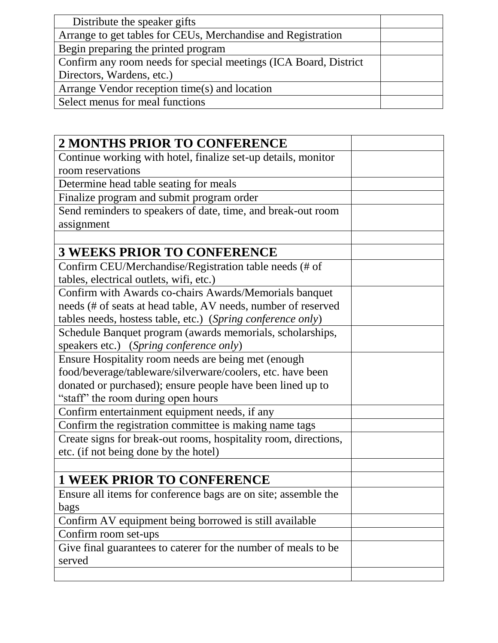| Distribute the speaker gifts                                     |  |
|------------------------------------------------------------------|--|
| Arrange to get tables for CEUs, Merchandise and Registration     |  |
| Begin preparing the printed program                              |  |
| Confirm any room needs for special meetings (ICA Board, District |  |
| Directors, Wardens, etc.)                                        |  |
| Arrange Vendor reception time(s) and location                    |  |
| Select menus for meal functions                                  |  |

| <b>2 MONTHS PRIOR TO CONFERENCE</b>                             |  |
|-----------------------------------------------------------------|--|
| Continue working with hotel, finalize set-up details, monitor   |  |
| room reservations                                               |  |
| Determine head table seating for meals                          |  |
| Finalize program and submit program order                       |  |
| Send reminders to speakers of date, time, and break-out room    |  |
| assignment                                                      |  |
|                                                                 |  |
| <b>3 WEEKS PRIOR TO CONFERENCE</b>                              |  |
| Confirm CEU/Merchandise/Registration table needs (# of          |  |
| tables, electrical outlets, wifi, etc.)                         |  |
| Confirm with Awards co-chairs Awards/Memorials banquet          |  |
| needs (# of seats at head table, AV needs, number of reserved   |  |
| tables needs, hostess table, etc.) (Spring conference only)     |  |
| Schedule Banquet program (awards memorials, scholarships,       |  |
| speakers etc.) (Spring conference only)                         |  |
| Ensure Hospitality room needs are being met (enough             |  |
| food/beverage/tableware/silverware/coolers, etc. have been      |  |
| donated or purchased); ensure people have been lined up to      |  |
| "staff" the room during open hours                              |  |
| Confirm entertainment equipment needs, if any                   |  |
| Confirm the registration committee is making name tags          |  |
| Create signs for break-out rooms, hospitality room, directions, |  |
| etc. (if not being done by the hotel)                           |  |
|                                                                 |  |
| <b>1 WEEK PRIOR TO CONFERENCE</b>                               |  |
| Ensure all items for conference bags are on site; assemble the  |  |
| bags                                                            |  |
| Confirm AV equipment being borrowed is still available          |  |
| Confirm room set-ups                                            |  |
| Give final guarantees to caterer for the number of meals to be  |  |
| served                                                          |  |
|                                                                 |  |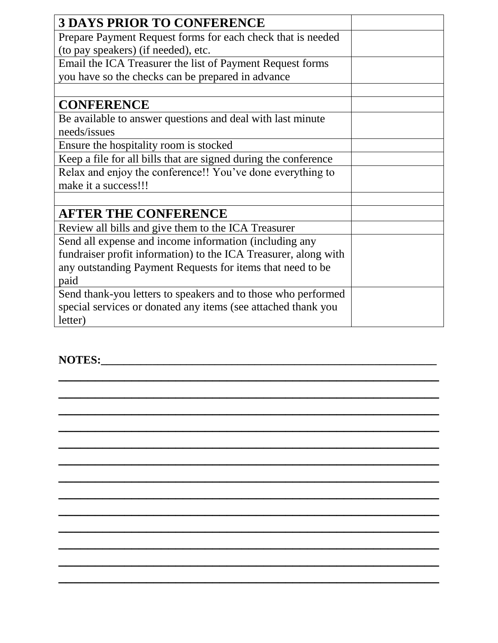| <b>3 DAYS PRIOR TO CONFERENCE</b>                               |  |
|-----------------------------------------------------------------|--|
| Prepare Payment Request forms for each check that is needed     |  |
| (to pay speakers) (if needed), etc.                             |  |
| Email the ICA Treasurer the list of Payment Request forms       |  |
| you have so the checks can be prepared in advance               |  |
|                                                                 |  |
| <b>CONFERENCE</b>                                               |  |
| Be available to answer questions and deal with last minute      |  |
| needs/issues                                                    |  |
| Ensure the hospitality room is stocked                          |  |
| Keep a file for all bills that are signed during the conference |  |
| Relax and enjoy the conference!! You've done everything to      |  |
| make it a success!!!                                            |  |
|                                                                 |  |
| <b>AFTER THE CONFERENCE</b>                                     |  |
| Review all bills and give them to the ICA Treasurer             |  |
| Send all expense and income information (including any          |  |
| fundraiser profit information) to the ICA Treasurer, along with |  |
| any outstanding Payment Requests for items that need to be      |  |
| paid                                                            |  |
| Send thank-you letters to speakers and to those who performed   |  |
| special services or donated any items (see attached thank you   |  |
| letter)                                                         |  |

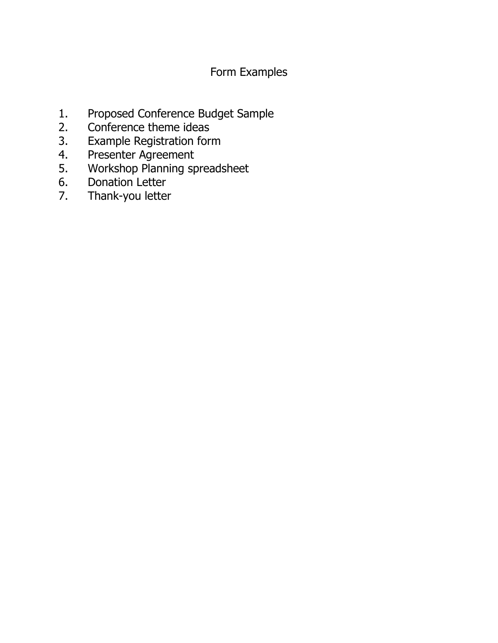## Form Examples

- 1. Proposed Conference Budget Sample
- 2. Conference theme ideas
- 3. Example Registration form
- 4. Presenter Agreement
- 5. Workshop Planning spreadsheet
- 6. Donation Letter
- 7. Thank-you letter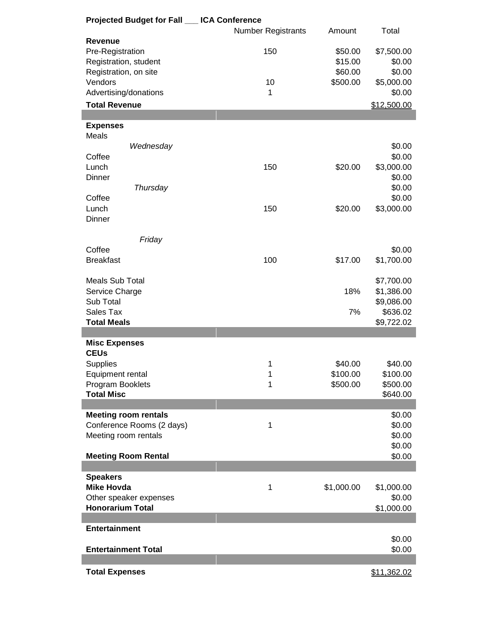| Projected Budget for Fall __ ICA Conference |                    |            |             |
|---------------------------------------------|--------------------|------------|-------------|
|                                             | Number Registrants | Amount     | Total       |
| <b>Revenue</b>                              |                    |            |             |
| Pre-Registration                            | 150                | \$50.00    | \$7,500.00  |
| Registration, student                       |                    | \$15.00    | \$0.00      |
|                                             |                    |            |             |
| Registration, on site                       |                    | \$60.00    | \$0.00      |
| Vendors                                     | 10                 | \$500.00   | \$5,000.00  |
| Advertising/donations                       | 1                  |            | \$0.00      |
| <b>Total Revenue</b>                        |                    |            | \$12,500.00 |
|                                             |                    |            |             |
| <b>Expenses</b>                             |                    |            |             |
|                                             |                    |            |             |
| Meals                                       |                    |            |             |
| Wednesday                                   |                    |            | \$0.00      |
| Coffee                                      |                    |            | \$0.00      |
| Lunch                                       | 150                | \$20.00    | \$3,000.00  |
| <b>Dinner</b>                               |                    |            | \$0.00      |
| Thursday                                    |                    |            | \$0.00      |
| Coffee                                      |                    |            | \$0.00      |
|                                             |                    |            |             |
| Lunch                                       | 150                | \$20.00    | \$3,000.00  |
| Dinner                                      |                    |            |             |
|                                             |                    |            |             |
| Friday                                      |                    |            |             |
| Coffee                                      |                    |            | \$0.00      |
| <b>Breakfast</b>                            | 100                | \$17.00    | \$1,700.00  |
|                                             |                    |            |             |
|                                             |                    |            |             |
| <b>Meals Sub Total</b>                      |                    |            | \$7,700.00  |
| Service Charge                              |                    | 18%        | \$1,386.00  |
| Sub Total                                   |                    |            | \$9,086.00  |
| Sales Tax                                   |                    | 7%         | \$636.02    |
| <b>Total Meals</b>                          |                    |            | \$9,722.02  |
|                                             |                    |            |             |
| <b>Misc Expenses</b>                        |                    |            |             |
| <b>CEUs</b>                                 |                    |            |             |
|                                             |                    |            |             |
| <b>Supplies</b>                             | 1                  | \$40.00    | \$40.00     |
| Equipment rental                            | 1                  | \$100.00   | \$100.00    |
| Program Booklets                            | 1                  | \$500.00   | \$500.00    |
| <b>Total Misc</b>                           |                    |            | \$640.00    |
|                                             |                    |            |             |
| <b>Meeting room rentals</b>                 |                    |            | \$0.00      |
| Conference Rooms (2 days)                   | 1                  |            | \$0.00      |
| Meeting room rentals                        |                    |            | \$0.00      |
|                                             |                    |            |             |
|                                             |                    |            | \$0.00      |
| <b>Meeting Room Rental</b>                  |                    |            | \$0.00      |
|                                             |                    |            |             |
| <b>Speakers</b>                             |                    |            |             |
| <b>Mike Hovda</b>                           | 1                  | \$1,000.00 | \$1,000.00  |
| Other speaker expenses                      |                    |            | \$0.00      |
| <b>Honorarium Total</b>                     |                    |            | \$1,000.00  |
|                                             |                    |            |             |
|                                             |                    |            |             |
| <b>Entertainment</b>                        |                    |            |             |
|                                             |                    |            | \$0.00      |
| <b>Entertainment Total</b>                  |                    |            | \$0.00      |
|                                             |                    |            |             |
| <b>Total Expenses</b>                       |                    |            | \$11,362.02 |
|                                             |                    |            |             |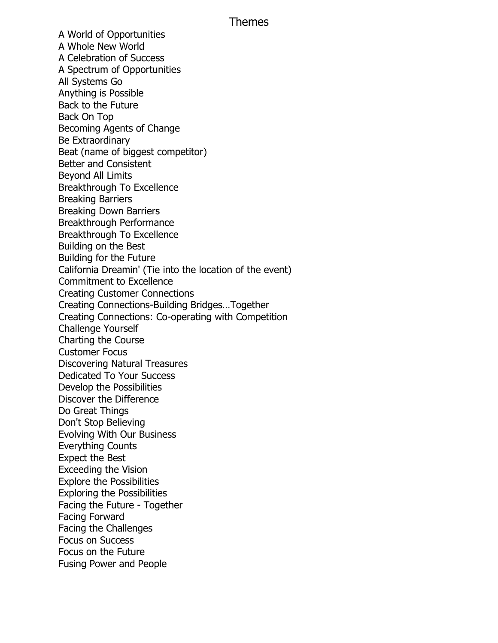## Themes

A World of Opportunities A Whole New World A Celebration of Success A Spectrum of Opportunities All Systems Go Anything is Possible Back to the Future Back On Top Becoming Agents of Change Be Extraordinary Beat (name of biggest competitor) Better and Consistent Beyond All Limits Breakthrough To Excellence Breaking Barriers Breaking Down Barriers Breakthrough Performance Breakthrough To Excellence Building on the Best Building for the Future California Dreamin' (Tie into the location of the event) Commitment to Excellence Creating Customer Connections Creating Connections-Building Bridges…Together Creating Connections: Co-operating with Competition Challenge Yourself Charting the Course Customer Focus Discovering Natural Treasures Dedicated To Your Success Develop the Possibilities Discover the Difference Do Great Things Don't Stop Believing Evolving With Our Business Everything Counts Expect the Best Exceeding the Vision Explore the Possibilities Exploring the Possibilities Facing the Future - Together Facing Forward Facing the Challenges Focus on Success Focus on the Future Fusing Power and People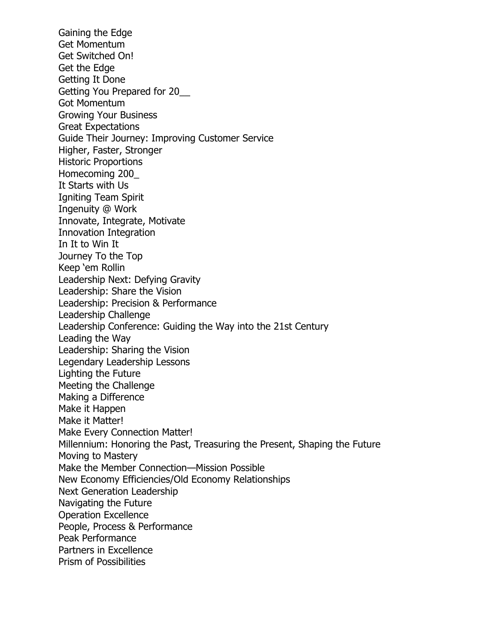Gaining the Edge Get Momentum Get Switched On! Get the Edge Getting It Done Getting You Prepared for 20\_\_ Got Momentum Growing Your Business Great Expectations Guide Their Journey: Improving Customer Service Higher, Faster, Stronger Historic Proportions Homecoming 200\_ It Starts with Us Igniting Team Spirit Ingenuity @ Work Innovate, Integrate, Motivate Innovation Integration In It to Win It Journey To the Top Keep 'em Rollin Leadership Next: Defying Gravity Leadership: Share the Vision Leadership: Precision & Performance Leadership Challenge Leadership Conference: Guiding the Way into the 21st Century Leading the Way Leadership: Sharing the Vision Legendary Leadership Lessons Lighting the Future Meeting the Challenge Making a Difference Make it Happen Make it Matter! Make Every Connection Matter! Millennium: Honoring the Past, Treasuring the Present, Shaping the Future Moving to Mastery Make the Member Connection—Mission Possible New Economy Efficiencies/Old Economy Relationships Next Generation Leadership Navigating the Future Operation Excellence People, Process & Performance Peak Performance Partners in Excellence Prism of Possibilities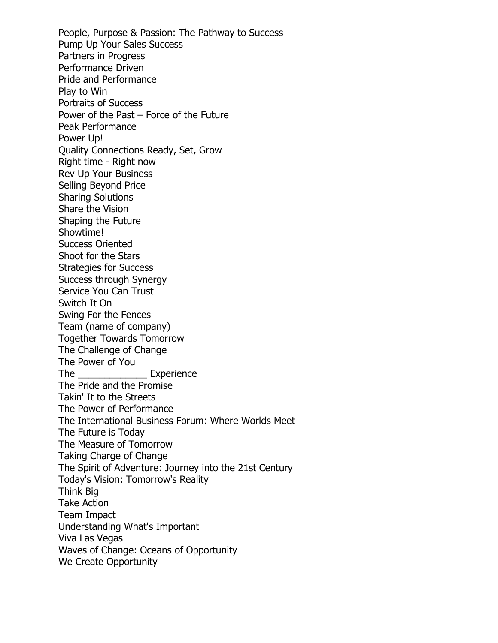People, Purpose & Passion: The Pathway to Success Pump Up Your Sales Success Partners in Progress Performance Driven Pride and Performance Play to Win Portraits of Success Power of the Past – Force of the Future Peak Performance Power Up! Quality Connections Ready, Set, Grow Right time - Right now Rev Up Your Business Selling Beyond Price Sharing Solutions Share the Vision Shaping the Future Showtime! Success Oriented Shoot for the Stars Strategies for Success Success through Synergy Service You Can Trust Switch It On Swing For the Fences Team (name of company) Together Towards Tomorrow The Challenge of Change The Power of You The **Experience** The Pride and the Promise Takin' It to the Streets The Power of Performance The International Business Forum: Where Worlds Meet The Future is Today The Measure of Tomorrow Taking Charge of Change The Spirit of Adventure: Journey into the 21st Century Today's Vision: Tomorrow's Reality Think Big Take Action Team Impact Understanding What's Important Viva Las Vegas Waves of Change: Oceans of Opportunity We Create Opportunity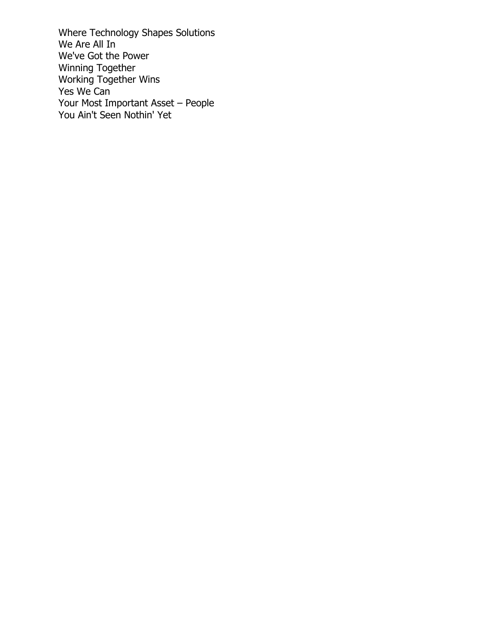Where Technology Shapes Solutions We Are All In We've Got the Power Winning Together Working Together Wins Yes We Can Your Most Important Asset – People You Ain't Seen Nothin' Yet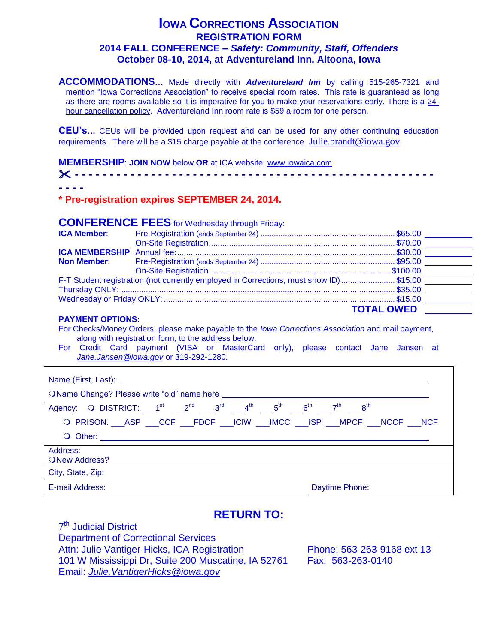## **IOWA CORRECTIONS ASSOCIATION REGISTRATION FORM 2014 FALL CONFERENCE –** *Safety: Community, Staff, Offenders* **October 08-10, 2014, at Adventureland Inn, Altoona, Iowa**

**ACCOMMODATIONS…** Made directly with *Adventureland Inn* by calling 515-265-7321 and mention "Iowa Corrections Association" to receive special room rates. This rate is guaranteed as long as there are rooms available so it is imperative for you to make your reservations early. There is a 24 hour cancellation policy. Adventureland Inn room rate is \$59 a room for one person.

**CEU's…** CEUs will be provided upon request and can be used for any other continuing education requirements. There will be a \$15 charge payable at the conference. [Julie.brandt@iowa.gov](mailto:Julie.brandt@iowa.gov)

**MEMBERSHIP**: **JOIN NOW** below **OR** at ICA website: [www.iowaica.com](http://www.iowaica.com/)

| ----- |  |  |
|-------|--|--|

#### **\* Pre-registration expires SEPTEMBER 24, 2014.**

## **CONFERENCE FEES** for Wednesday through Friday:

| <b>ICA Member:</b> |                                                                                        |                   |  |
|--------------------|----------------------------------------------------------------------------------------|-------------------|--|
|                    |                                                                                        |                   |  |
|                    |                                                                                        |                   |  |
|                    |                                                                                        |                   |  |
|                    |                                                                                        |                   |  |
|                    | F-T Student registration (not currently employed in Corrections, must show ID) \$15.00 |                   |  |
|                    |                                                                                        |                   |  |
|                    |                                                                                        |                   |  |
|                    |                                                                                        | <b>TOTAL OWED</b> |  |

#### **PAYMENT OPTIONS:**

Г

For Checks/Money Orders, please make payable to the *Iowa Corrections Association* and mail payment, along with registration form, to the address below.

For Credit Card payment (VISA or MasterCard only), please contact Jane Jansen at *[Jane.Jansen@iowa.gov](mailto:Jane.Jansen@iowa.gov)* or 319-292-1280.

| Name (First, Last): <u>________________________</u>                                         |                |
|---------------------------------------------------------------------------------------------|----------------|
| OName Change? Please write "old" name here                                                  |                |
| Agency: O DISTRICT: $1^{st}$ $2^{nd}$ $3^{rd}$ $4^{th}$ $5^{th}$ $6^{th}$ $7^{th}$ $8^{th}$ |                |
| O PRISON: __ASP ___CCF ___FDCF ___ICIW ___IMCC ___ISP ___MPCF ___NCCF ___NCF                |                |
|                                                                                             |                |
| Address:<br><b>ONew Address?</b>                                                            |                |
| City, State, Zip:                                                                           |                |
| E-mail Address:                                                                             | Daytime Phone: |

## **RETURN TO:**

7<sup>th</sup> Judicial District Department of Correctional Services Attn: Julie Vantiger-Hicks, ICA Registration Phone: 563-263-9168 ext 13 101 W Mississippi Dr, Suite 200 Muscatine, IA 52761 Fax: 563-263-0140 Email: *Julie.VantigerHicks@iowa.gov*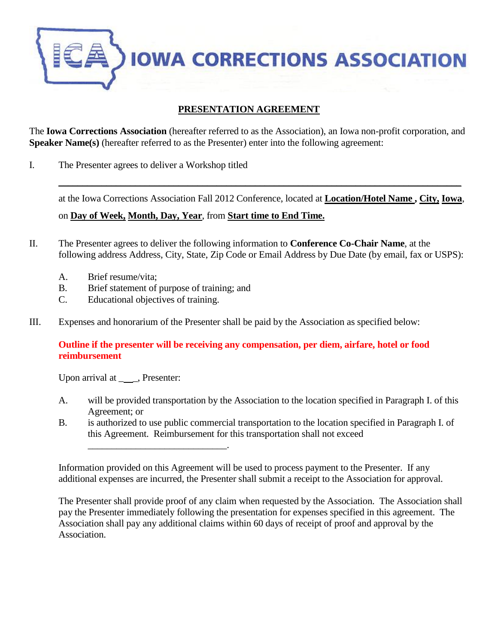**IOWA CORRECTIONS ASSOCIATION** 

## **PRESENTATION AGREEMENT**

The **Iowa Corrections Association** (hereafter referred to as the Association), an Iowa non-profit corporation, and **Speaker Name(s)** (hereafter referred to as the Presenter) enter into the following agreement:

I. The Presenter agrees to deliver a Workshop titled

at the Iowa Corrections Association Fall 2012 Conference, located at **Location/Hotel Name , City, Iowa**,

 $\_$  , and the contribution of the contribution of the contribution of the contribution of  $\mathcal{L}_\text{max}$ 

on **Day of Week, Month, Day, Year**, from **Start time to End Time.**

- II. The Presenter agrees to deliver the following information to **Conference Co-Chair Name**, at the following address Address, City, State, Zip Code or Email Address by Due Date (by email, fax or USPS):
	- A. Brief resume/vita;
	- B. Brief statement of purpose of training; and

\_\_\_\_\_\_\_\_\_\_\_\_\_\_\_\_\_\_\_\_\_\_\_\_\_\_\_\_\_.

- C. Educational objectives of training.
- III. Expenses and honorarium of the Presenter shall be paid by the Association as specified below:

## **Outline if the presenter will be receiving any compensation, per diem, airfare, hotel or food reimbursement**

Upon arrival at \_\_\_\_, Presenter:

- A. will be provided transportation by the Association to the location specified in Paragraph I. of this Agreement; or
- B. is authorized to use public commercial transportation to the location specified in Paragraph I. of this Agreement. Reimbursement for this transportation shall not exceed

Information provided on this Agreement will be used to process payment to the Presenter. If any additional expenses are incurred, the Presenter shall submit a receipt to the Association for approval.

The Presenter shall provide proof of any claim when requested by the Association. The Association shall pay the Presenter immediately following the presentation for expenses specified in this agreement. The Association shall pay any additional claims within 60 days of receipt of proof and approval by the Association.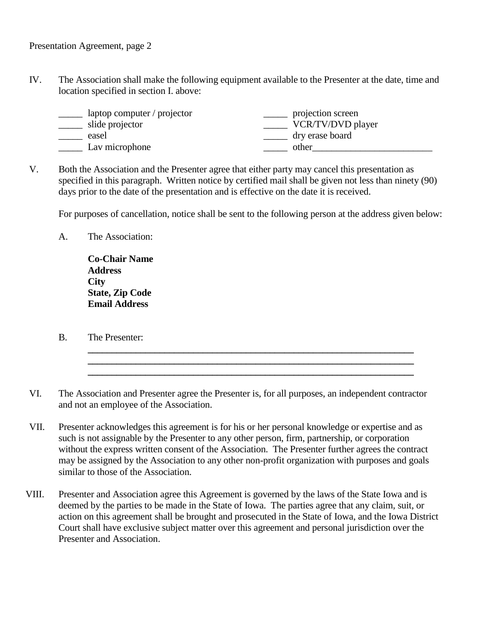IV. The Association shall make the following equipment available to the Presenter at the date, time and location specified in section I. above:

| laptop computer / projector | projection screen |
|-----------------------------|-------------------|
| slide projector             | VCR/TV/DVD player |
| easel                       | dry erase board   |
| Lav microphone              | other             |
|                             |                   |

V. Both the Association and the Presenter agree that either party may cancel this presentation as specified in this paragraph. Written notice by certified mail shall be given not less than ninety (90) days prior to the date of the presentation and is effective on the date it is received.

For purposes of cancellation, notice shall be sent to the following person at the address given below:

**\_\_\_\_\_\_\_\_\_\_\_\_\_\_\_\_\_\_\_\_\_\_\_\_\_\_\_\_\_\_\_\_\_\_\_\_\_\_\_\_\_\_\_\_\_\_\_\_\_\_\_\_\_\_\_\_\_\_\_\_\_\_\_\_\_\_\_\_ \_\_\_\_\_\_\_\_\_\_\_\_\_\_\_\_\_\_\_\_\_\_\_\_\_\_\_\_\_\_\_\_\_\_\_\_\_\_\_\_\_\_\_\_\_\_\_\_\_\_\_\_\_\_\_\_\_\_\_\_\_\_\_\_\_\_\_\_ \_\_\_\_\_\_\_\_\_\_\_\_\_\_\_\_\_\_\_\_\_\_\_\_\_\_\_\_\_\_\_\_\_\_\_\_\_\_\_\_\_\_\_\_\_\_\_\_\_\_\_\_\_\_\_\_\_\_\_\_\_\_\_\_\_\_\_\_**

A. The Association:

**Co-Chair Name Address City State, Zip Code Email Address**

B. The Presenter:

VI. The Association and Presenter agree the Presenter is, for all purposes, an independent contractor and not an employee of the Association.

- VII. Presenter acknowledges this agreement is for his or her personal knowledge or expertise and as such is not assignable by the Presenter to any other person, firm, partnership, or corporation without the express written consent of the Association. The Presenter further agrees the contract may be assigned by the Association to any other non-profit organization with purposes and goals similar to those of the Association.
- VIII. Presenter and Association agree this Agreement is governed by the laws of the State Iowa and is deemed by the parties to be made in the State of Iowa. The parties agree that any claim, suit, or action on this agreement shall be brought and prosecuted in the State of Iowa, and the Iowa District Court shall have exclusive subject matter over this agreement and personal jurisdiction over the Presenter and Association.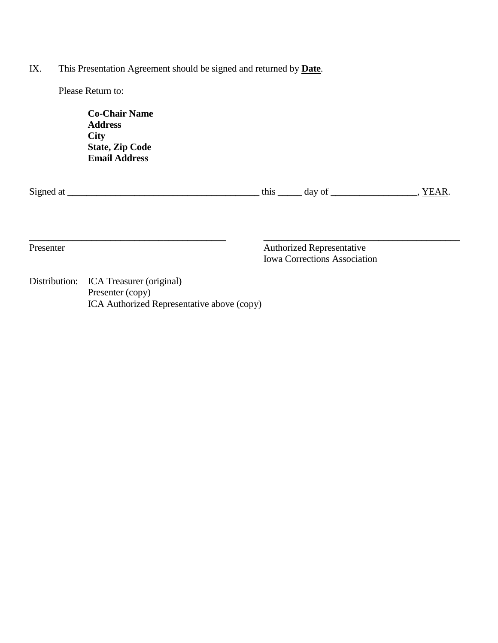IX. This Presentation Agreement should be signed and returned by **Date**.

Please Return to:

| <b>Co-Chair Name</b>   |  |
|------------------------|--|
| <b>Address</b>         |  |
| City                   |  |
| <b>State, Zip Code</b> |  |
| <b>Email Address</b>   |  |

| Signed<br>$\sim$ 4<br>71 I | -מנמ<br>ишэ | dav<br>v | u. |
|----------------------------|-------------|----------|----|
|                            |             |          |    |

**\_\_\_\_\_\_\_\_\_\_\_\_\_\_\_\_\_\_\_\_\_\_\_\_\_\_\_\_\_\_\_\_\_\_\_\_\_\_\_\_\_ \_\_\_\_\_\_\_\_\_\_\_\_\_\_\_\_\_\_\_\_\_\_\_\_\_\_\_\_\_\_\_\_\_\_\_\_\_\_\_\_\_**

Presenter Authorized Representative Iowa Corrections Association

Distribution: ICA Treasurer (original) Presenter (copy) ICA Authorized Representative above (copy)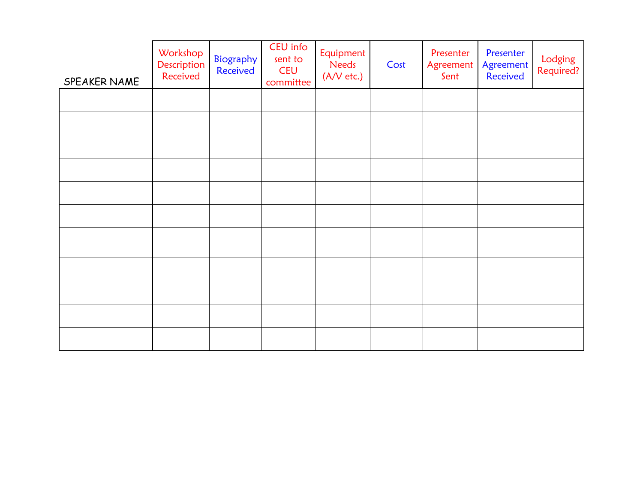| SPEAKER NAME | Workshop<br>Description<br>Received | Biography<br>Received | CEU info<br>sent to<br><b>CEU</b><br>committee | Equipment<br>Needs<br>(A/V etc.) | Cost | Presenter<br>Agreement<br>Sent | Presenter<br>Agreement<br>Received | Lodging<br>Required? |
|--------------|-------------------------------------|-----------------------|------------------------------------------------|----------------------------------|------|--------------------------------|------------------------------------|----------------------|
|              |                                     |                       |                                                |                                  |      |                                |                                    |                      |
|              |                                     |                       |                                                |                                  |      |                                |                                    |                      |
|              |                                     |                       |                                                |                                  |      |                                |                                    |                      |
|              |                                     |                       |                                                |                                  |      |                                |                                    |                      |
|              |                                     |                       |                                                |                                  |      |                                |                                    |                      |
|              |                                     |                       |                                                |                                  |      |                                |                                    |                      |
|              |                                     |                       |                                                |                                  |      |                                |                                    |                      |
|              |                                     |                       |                                                |                                  |      |                                |                                    |                      |
|              |                                     |                       |                                                |                                  |      |                                |                                    |                      |
|              |                                     |                       |                                                |                                  |      |                                |                                    |                      |
|              |                                     |                       |                                                |                                  |      |                                |                                    |                      |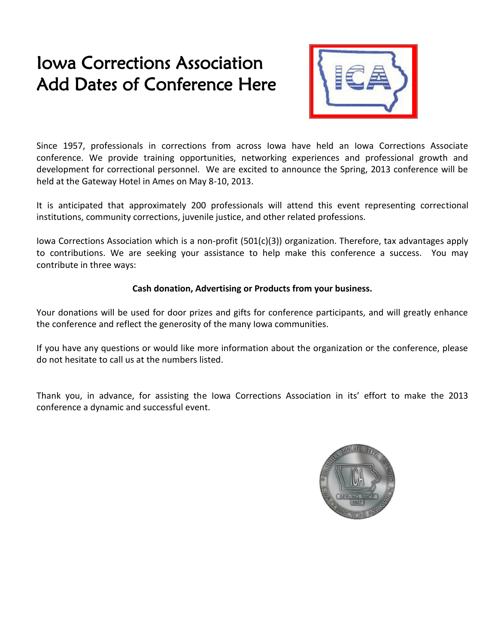# Iowa Corrections Association Add Dates of Conference Here



Since 1957, professionals in corrections from across Iowa have held an Iowa Corrections Associate conference. We provide training opportunities, networking experiences and professional growth and development for correctional personnel. We are excited to announce the Spring, 2013 conference will be held at the Gateway Hotel in Ames on May 8-10, 2013.

It is anticipated that approximately 200 professionals will attend this event representing correctional institutions, community corrections, juvenile justice, and other related professions.

Iowa Corrections Association which is a non-profit (501(c)(3)) organization. Therefore, tax advantages apply to contributions. We are seeking your assistance to help make this conference a success. You may contribute in three ways:

## **Cash donation, Advertising or Products from your business.**

Your donations will be used for door prizes and gifts for conference participants, and will greatly enhance the conference and reflect the generosity of the many Iowa communities.

If you have any questions or would like more information about the organization or the conference, please do not hesitate to call us at the numbers listed.

Thank you, in advance, for assisting the Iowa Corrections Association in its' effort to make the 2013 conference a dynamic and successful event.